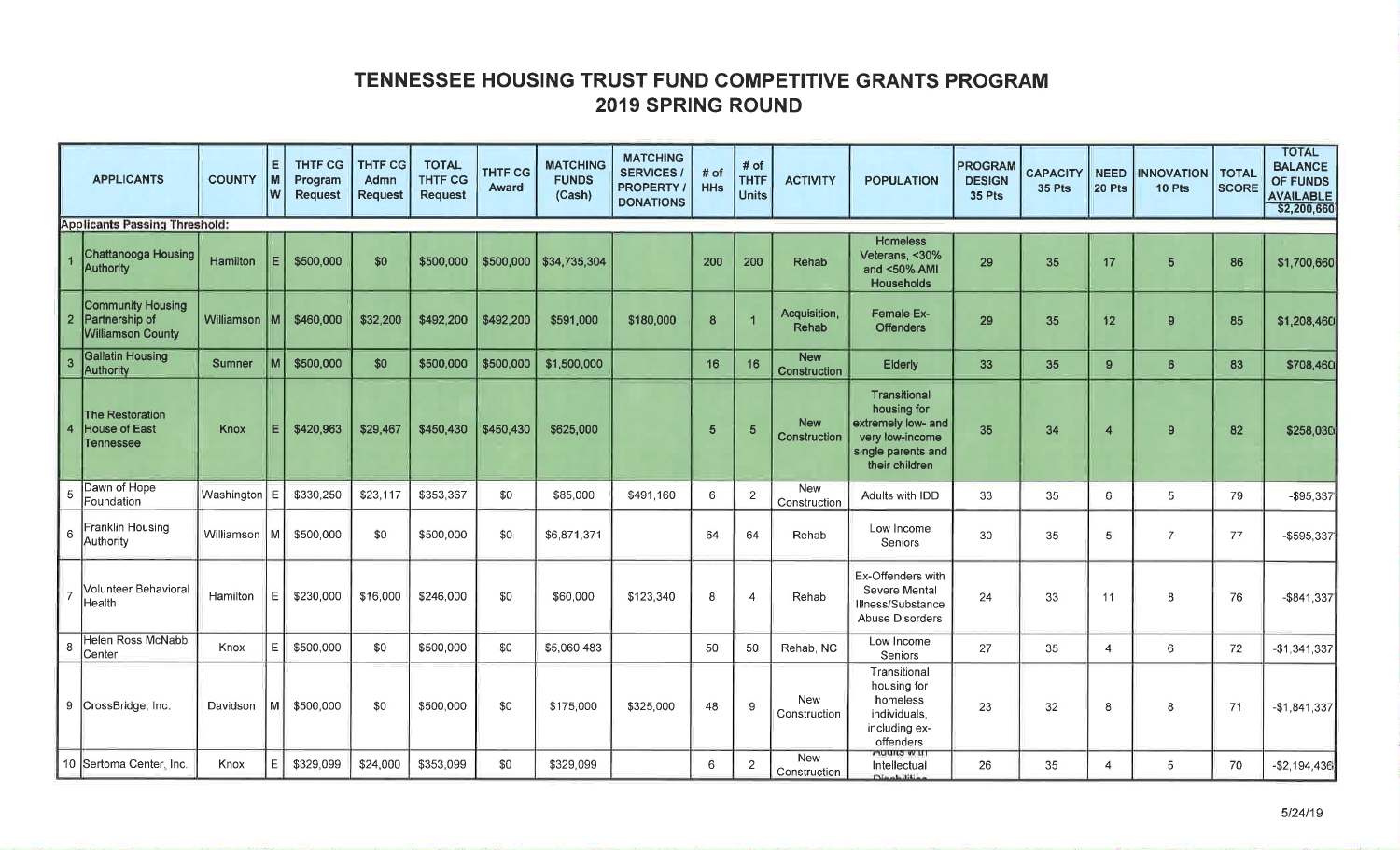## TENNESSEE HOUSING TRUST FUND COMPETITIVE GRANTS PROGRAM 2019 SPRING ROUND

|                | <b>APPLICANTS</b>                                                      | <b>COUNTY</b>       | E<br>M<br>W        | <b>THTF CG</b><br>Program<br><b>Request</b> | <b>THTF CG</b><br>Admn<br><b>Request</b> | <b>TOTAL</b><br><b>THTF CG</b><br><b>Request</b> | <b>THTF CG</b><br>Award | <b>MATCHING</b><br><b>FUNDS</b><br>(Cash) | <b>MATCHING</b><br><b>SERVICES/</b><br><b>PROPERTY</b><br><b>DONATIONS</b> | # of<br><b>HHs</b> | # of<br><b>THTF</b><br><b>Units</b> | <b>ACTIVITY</b>            | <b>POPULATION</b>                                                                                                   | <b>PROGRAM</b><br><b>DESIGN</b><br><b>35 Pts</b> | <b>CAPACITY</b><br><b>35 Pts</b> | <b>NEED</b><br>20 Pts | <b>INNOVATION</b><br>10 Pts | <b>TOTAL</b><br><b>SCORE</b> | <b>TOTAL</b><br><b>BALANCE</b><br>OF FUNDS<br><b>AVAILABLE</b><br>\$2,200,660 |
|----------------|------------------------------------------------------------------------|---------------------|--------------------|---------------------------------------------|------------------------------------------|--------------------------------------------------|-------------------------|-------------------------------------------|----------------------------------------------------------------------------|--------------------|-------------------------------------|----------------------------|---------------------------------------------------------------------------------------------------------------------|--------------------------------------------------|----------------------------------|-----------------------|-----------------------------|------------------------------|-------------------------------------------------------------------------------|
|                | <b>Applicants Passing Threshold:</b>                                   |                     |                    |                                             |                                          |                                                  |                         |                                           |                                                                            |                    |                                     |                            |                                                                                                                     |                                                  |                                  |                       |                             |                              |                                                                               |
|                | Chattanooga Housing<br>Authority                                       | Hamilton            | F                  | \$500,000                                   | \$0                                      | \$500,000                                        | \$500,000               | \$34,735,304                              |                                                                            | 200                | 200                                 | <b>Rehab</b>               | <b>Homeless</b><br>Veterans, <30%<br>and <50% AMI<br>Households                                                     | 29                                               | 35                               | 17                    | 5                           | 86                           | \$1,700,660                                                                   |
| $\vert$ 2      | <b>Community Housing</b><br>Partnership of<br><b>Williamson County</b> | <b>Williamson M</b> |                    | \$460,000                                   | \$32,200                                 | \$492,200                                        | \$492,200               | \$591,000                                 | \$180,000                                                                  | 8                  |                                     | Acquisition,<br>Rehab      | <b>Female Ex-</b><br><b>Offenders</b>                                                                               | 29                                               | 35                               | 12                    | 9                           | 85                           | \$1,208,460                                                                   |
| $\parallel$ 3  | <b>Gallatin Housing</b><br><b>Authority</b>                            | <b>Sumner</b>       |                    | \$500,000                                   | \$0                                      | \$500,000                                        | \$500,000               | \$1,500,000                               |                                                                            | 16                 | 16                                  | <b>New</b><br>Construction | <b>Elderly</b>                                                                                                      | 33                                               | 35                               | 9                     | $6 \overline{6}$            | 83                           | \$708,460                                                                     |
|                | <b>The Restoration</b><br><b>House of East</b><br><b>Tennessee</b>     | Knox                |                    | \$420,963                                   | \$29,467                                 | \$450,430                                        | \$450,430               | \$625,000                                 |                                                                            | $5\phantom{1}$     | 5                                   | <b>New</b><br>Construction | <b>Transitional</b><br>housing for<br>extremely low- and<br>very low-income<br>single parents and<br>their children | 35                                               | 34                               | $\boldsymbol{4}$      | 9 <sup>°</sup>              | 82                           | \$258,030                                                                     |
| 5              | Dawn of Hope<br>Foundation                                             | Washington          | E                  | \$330,250                                   | \$23,117                                 | \$353,367                                        | \$0                     | \$85,000                                  | \$491,160                                                                  | 6                  | $\overline{2}$                      | <b>New</b><br>Construction | Adults with IDD                                                                                                     | 33                                               | 35                               | 6                     | 5                           | 79                           | $-$ \$95,337                                                                  |
| 6              | Franklin Housing<br>Authority                                          | Williamson M        |                    | \$500,000                                   | \$0                                      | \$500,000                                        | \$0                     | \$6,871,371                               |                                                                            | 64                 | 64                                  | Rehab                      | Low Income<br>Seniors                                                                                               | 30                                               | 35                               | 5                     | $\overline{7}$              | 77                           | $-$595,337$                                                                   |
| $\overline{7}$ | Volunteer Behavioral<br>Health                                         | Hamilton            | Ε                  | \$230,000                                   | \$16,000                                 | \$246,000                                        | \$0                     | \$60,000                                  | \$123,340                                                                  | 8                  | $\overline{4}$                      | Rehab                      | Ex-Offenders with<br>Severe Mental<br>Illness/Substance<br><b>Abuse Disorders</b>                                   | 24                                               | 33                               | 11                    | 8                           | 76                           | $-$841,337$                                                                   |
| 8              | Helen Ross McNabb<br>Center                                            | Knox                | $\mathsf{E}% _{0}$ | \$500,000                                   | \$0                                      | \$500,000                                        | \$0                     | \$5,060,483                               |                                                                            | 50                 | 50                                  | Rehab, NC                  | Low Income<br>Seniors                                                                                               | 27                                               | 35                               | $\boldsymbol{4}$      | 6                           | 72                           | $-$1,341,337$                                                                 |
| 9              | CrossBridge, Inc.                                                      | Davidson            | M                  | \$500,000                                   | \$0                                      | \$500,000                                        | \$0                     | \$175,000                                 | \$325,000                                                                  | 48                 | 9                                   | <b>New</b><br>Construction | Transitional<br>housing for<br>homeless<br>individuals,<br>including ex-<br>offenders                               | 23                                               | 32                               | 8                     | 8                           | 71                           | $-$1,841,337$                                                                 |
|                | 10 Sertoma Center, Inc.                                                | Knox                | E                  | \$329,099                                   | \$24,000                                 | \$353,099                                        | \$0                     | \$329,099                                 |                                                                            | 6                  | $\overline{2}$                      | New<br>Construction        | AGUILS WILLT<br>Intellectual<br><b>Disabilitis</b>                                                                  | 26                                               | 35                               | 4                     | 5                           | 70                           | $-$2,194,436$                                                                 |